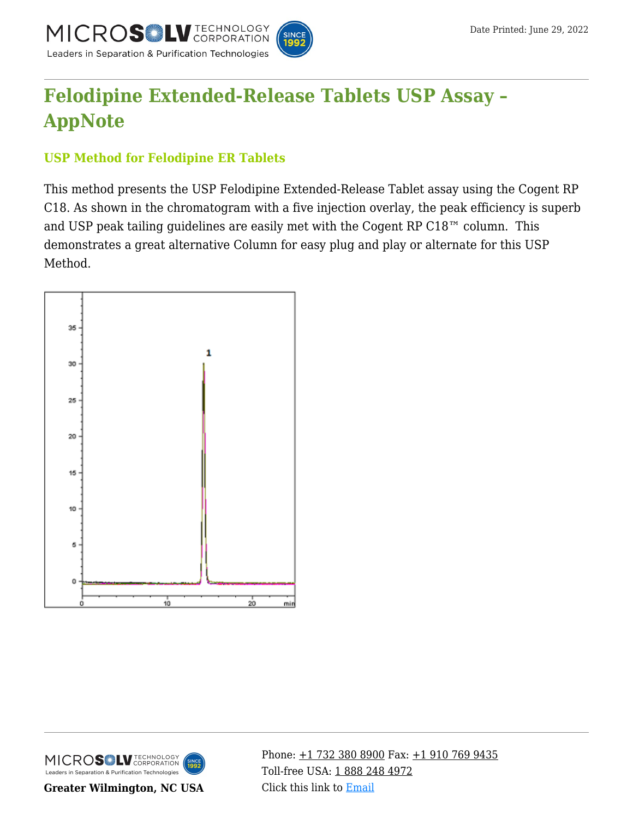

## **[Felodipine Extended-Release Tablets USP Assay –](https://kb.mtc-usa.com/article/aa-04199/46/) [AppNote](https://kb.mtc-usa.com/article/aa-04199/46/)**

## **USP Method for Felodipine ER Tablets**

This method presents the USP Felodipine Extended-Release Tablet assay using the Cogent RP C18. As shown in the chromatogram with a five injection overlay, the peak efficiency is superb and USP peak tailing guidelines are easily met with the Cogent RP C18™ column. This demonstrates a great alternative Column for easy plug and play or alternate for this USP Method.





**Greater Wilmington, NC USA**

Phone:  $\pm$ 1 732 380 8900 Fax:  $\pm$ 1 910 769 9435 Toll-free USA: [1 888 248 4972](#page--1-0) Click this link to [Email](https://www.mtc-usa.com/contact)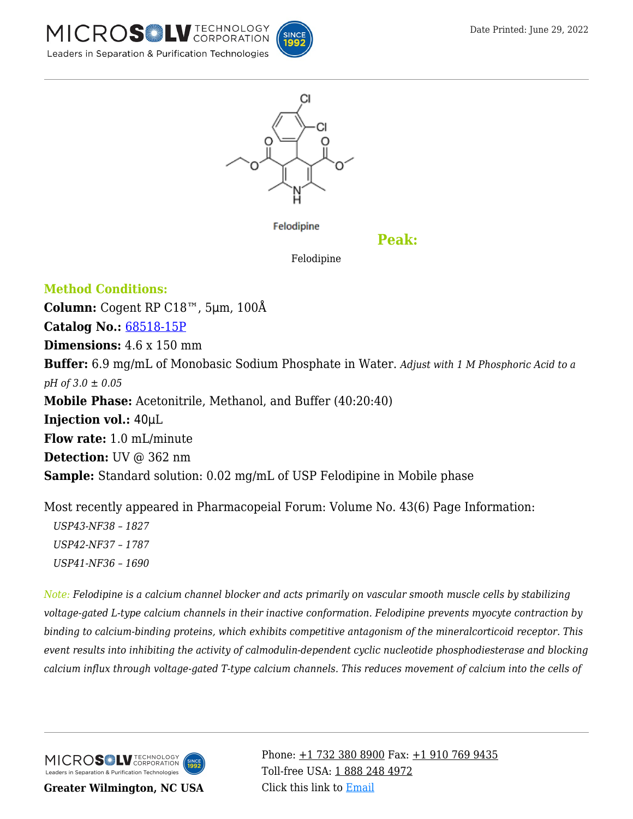





Felodipine

**Peak:**

Felodipine

**Method Conditions: Column:** Cogent RP C18™, 5μm, 100Å **Catalog No.:** [68518-15P](https://www.mtc-usa.com/product-details/id/4123481/catalog/68518-15p) **Dimensions:** 4.6 x 150 mm **Buffer:** 6.9 mg/mL of Monobasic Sodium Phosphate in Water. *Adjust with 1 M Phosphoric Acid to a pH of 3.0 ± 0.05* **Mobile Phase:** Acetonitrile, Methanol, and Buffer (40:20:40) **Injection vol.:** 40μL **Flow rate:** 1.0 mL/minute **Detection:** UV @ 362 nm **Sample:** Standard solution: 0.02 mg/mL of USP Felodipine in Mobile phase

Most recently appeared in Pharmacopeial Forum: Volume No. 43(6) Page Information: *—USP43-NF38 – 1827 —USP42-NF37 – 1787 —USP41-NF36 – 1690*

*Note: Felodipine is a calcium channel blocker and acts primarily on vascular smooth muscle cells by stabilizing voltage-gated L-type calcium channels in their inactive conformation. Felodipine prevents myocyte contraction by binding to calcium-binding proteins, which exhibits competitive antagonism of the mineralcorticoid receptor. This event results into inhibiting the activity of calmodulin-dependent cyclic nucleotide phosphodiesterase and blocking calcium influx through voltage-gated T-type calcium channels. This reduces movement of calcium into the cells of*

MICROS<sup>OL</sup> LU TECHNOLOGY Leaders in Separation & Purification Technologies

**Greater Wilmington, NC USA**

Phone:  $\pm$ 1 732 380 8900 Fax:  $\pm$ 1 910 769 9435 Toll-free USA: [1 888 248 4972](#page--1-0) Click this link to [Email](https://www.mtc-usa.com/contact)